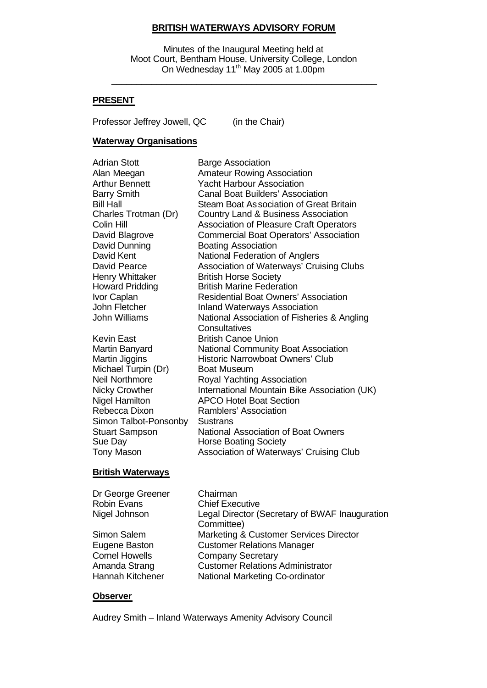### **BRITISH WATERWAYS ADVISORY FORUM**

Minutes of the Inaugural Meeting held at Moot Court, Bentham House, University College, London On Wednesday 11<sup>th</sup> May 2005 at 1.00pm

\_\_\_\_\_\_\_\_\_\_\_\_\_\_\_\_\_\_\_\_\_\_\_\_\_\_\_\_\_\_\_\_\_\_\_\_\_\_\_\_\_\_\_\_\_\_\_\_\_\_\_\_\_

### **PRESENT**

Professor Jeffrey Jowell, QC (in the Chair)

### **Waterway Organisations**

| <b>Adrian Stott</b>    | <b>Barge Association</b>                       |
|------------------------|------------------------------------------------|
| Alan Meegan            | <b>Amateur Rowing Association</b>              |
| <b>Arthur Bennett</b>  | <b>Yacht Harbour Association</b>               |
| <b>Barry Smith</b>     | <b>Canal Boat Builders' Association</b>        |
| <b>Bill Hall</b>       | Steam Boat As sociation of Great Britain       |
| Charles Trotman (Dr)   | Country Land & Business Association            |
| Colin Hill             | <b>Association of Pleasure Craft Operators</b> |
| David Blagrove         | <b>Commercial Boat Operators' Association</b>  |
| David Dunning          | <b>Boating Association</b>                     |
| David Kent             | National Federation of Anglers                 |
| David Pearce           | Association of Waterways' Cruising Clubs       |
| Henry Whittaker        | <b>British Horse Society</b>                   |
| <b>Howard Pridding</b> | <b>British Marine Federation</b>               |
| Ivor Caplan            | <b>Residential Boat Owners' Association</b>    |
| John Fletcher          | <b>Inland Waterways Association</b>            |
| <b>John Williams</b>   | National Association of Fisheries & Angling    |
|                        | Consultatives                                  |
| <b>Kevin East</b>      | <b>British Canoe Union</b>                     |
| Martin Banyard         | <b>National Community Boat Association</b>     |
| Martin Jiggins         | <b>Historic Narrowboat Owners' Club</b>        |
| Michael Turpin (Dr)    | <b>Boat Museum</b>                             |
| <b>Neil Northmore</b>  | Royal Yachting Association                     |
| <b>Nicky Crowther</b>  | International Mountain Bike Association (UK)   |
| <b>Nigel Hamilton</b>  | <b>APCO Hotel Boat Section</b>                 |
| Rebecca Dixon          | Ramblers' Association                          |
| Simon Talbot-Ponsonby  | Sustrans                                       |
| <b>Stuart Sampson</b>  | <b>National Association of Boat Owners</b>     |
| Sue Day                | <b>Horse Boating Society</b>                   |
| Tony Mason             | Association of Waterways' Cruising Club        |

### **British Waterways**

| Dr George Greener<br><b>Robin Evans</b><br>Nigel Johnson | Chairman<br><b>Chief Executive</b><br>Legal Director (Secretary of BWAF Inauguration |
|----------------------------------------------------------|--------------------------------------------------------------------------------------|
| Simon Salem                                              | Committee)<br>Marketing & Customer Services Director                                 |
| Eugene Baston                                            | <b>Customer Relations Manager</b>                                                    |
| <b>Cornel Howells</b>                                    | <b>Company Secretary</b>                                                             |
| Amanda Strang                                            | <b>Customer Relations Administrator</b>                                              |
| Hannah Kitchener                                         | National Marketing Co-ordinator                                                      |

#### **Observer**

Audrey Smith – Inland Waterways Amenity Advisory Council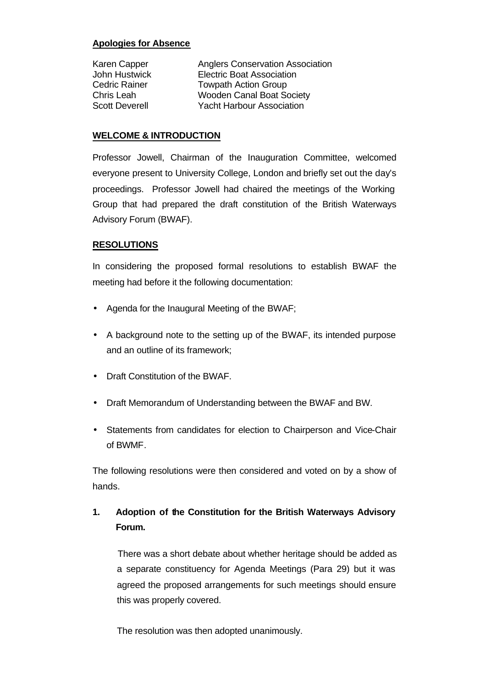# **Apologies for Absence**

| Karen Capper          | <b>Anglers Conservation Association</b> |
|-----------------------|-----------------------------------------|
| John Hustwick         | <b>Electric Boat Association</b>        |
| <b>Cedric Rainer</b>  | <b>Towpath Action Group</b>             |
| Chris Leah            | <b>Wooden Canal Boat Society</b>        |
| <b>Scott Deverell</b> | <b>Yacht Harbour Association</b>        |

## **WELCOME & INTRODUCTION**

Professor Jowell, Chairman of the Inauguration Committee, welcomed everyone present to University College, London and briefly set out the day's proceedings. Professor Jowell had chaired the meetings of the Working Group that had prepared the draft constitution of the British Waterways Advisory Forum (BWAF).

# **RESOLUTIONS**

In considering the proposed formal resolutions to establish BWAF the meeting had before it the following documentation:

- Agenda for the Inaugural Meeting of the BWAF;
- A background note to the setting up of the BWAF, its intended purpose and an outline of its framework;
- Draft Constitution of the BWAF.
- Draft Memorandum of Understanding between the BWAF and BW.
- Statements from candidates for election to Chairperson and Vice-Chair of BWMF.

The following resolutions were then considered and voted on by a show of hands.

# **1. Adoption of the Constitution for the British Waterways Advisory Forum.**

There was a short debate about whether heritage should be added as a separate constituency for Agenda Meetings (Para 29) but it was agreed the proposed arrangements for such meetings should ensure this was properly covered.

The resolution was then adopted unanimously.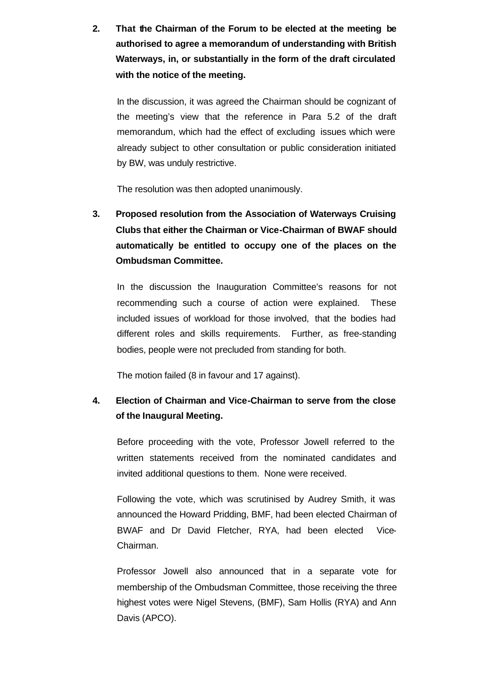**2. That the Chairman of the Forum to be elected at the meeting be authorised to agree a memorandum of understanding with British Waterways, in, or substantially in the form of the draft circulated with the notice of the meeting.**

In the discussion, it was agreed the Chairman should be cognizant of the meeting's view that the reference in Para 5.2 of the draft memorandum, which had the effect of excluding issues which were already subject to other consultation or public consideration initiated by BW, was unduly restrictive.

The resolution was then adopted unanimously.

**3. Proposed resolution from the Association of Waterways Cruising Clubs that either the Chairman or Vice-Chairman of BWAF should automatically be entitled to occupy one of the places on the Ombudsman Committee.**

In the discussion the Inauguration Committee's reasons for not recommending such a course of action were explained. These included issues of workload for those involved, that the bodies had different roles and skills requirements. Further, as free-standing bodies, people were not precluded from standing for both.

The motion failed (8 in favour and 17 against).

# **4. Election of Chairman and Vice-Chairman to serve from the close of the Inaugural Meeting.**

Before proceeding with the vote, Professor Jowell referred to the written statements received from the nominated candidates and invited additional questions to them. None were received.

Following the vote, which was scrutinised by Audrey Smith, it was announced the Howard Pridding, BMF, had been elected Chairman of BWAF and Dr David Fletcher, RYA, had been elected Vice-Chairman.

Professor Jowell also announced that in a separate vote for membership of the Ombudsman Committee, those receiving the three highest votes were Nigel Stevens, (BMF), Sam Hollis (RYA) and Ann Davis (APCO).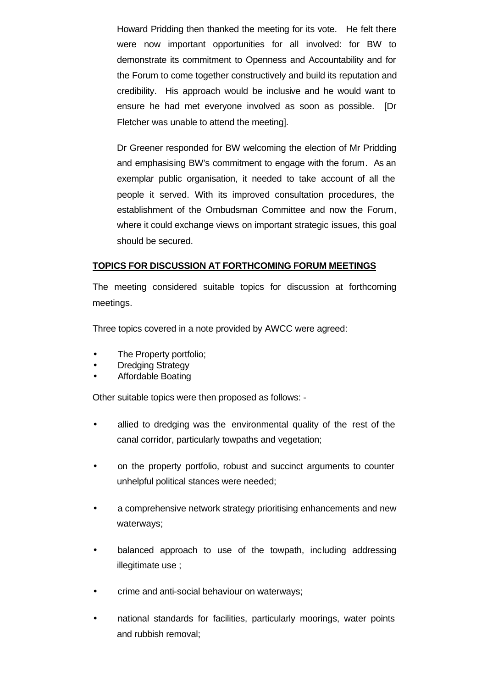Howard Pridding then thanked the meeting for its vote. He felt there were now important opportunities for all involved: for BW to demonstrate its commitment to Openness and Accountability and for the Forum to come together constructively and build its reputation and credibility. His approach would be inclusive and he would want to ensure he had met everyone involved as soon as possible. [Dr Fletcher was unable to attend the meeting].

Dr Greener responded for BW welcoming the election of Mr Pridding and emphasising BW's commitment to engage with the forum. As an exemplar public organisation, it needed to take account of all the people it served. With its improved consultation procedures, the establishment of the Ombudsman Committee and now the Forum, where it could exchange views on important strategic issues, this goal should be secured.

### **TOPICS FOR DISCUSSION AT FORTHCOMING FORUM MEETINGS**

The meeting considered suitable topics for discussion at forthcoming meetings.

Three topics covered in a note provided by AWCC were agreed:

- The Property portfolio;
- **Dredging Strategy**
- Affordable Boating

Other suitable topics were then proposed as follows: -

- allied to dredging was the environmental quality of the rest of the canal corridor, particularly towpaths and vegetation;
- on the property portfolio, robust and succinct arguments to counter unhelpful political stances were needed;
- a comprehensive network strategy prioritising enhancements and new waterways;
- balanced approach to use of the towpath, including addressing illegitimate use ;
- crime and anti-social behaviour on waterways;
- national standards for facilities, particularly moorings, water points and rubbish removal;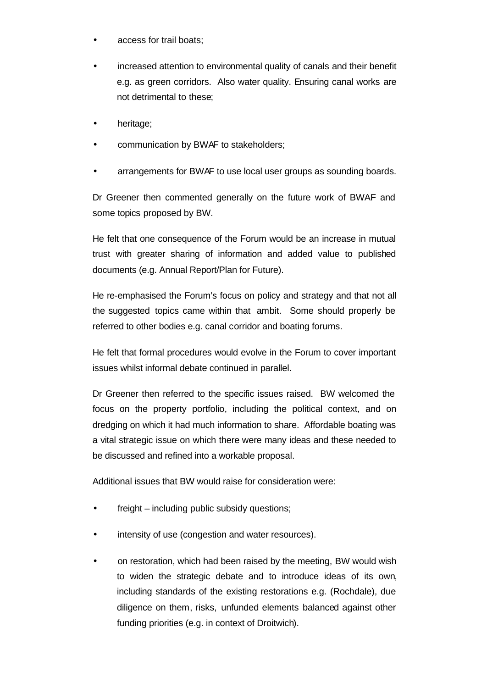- access for trail boats;
- increased attention to environmental quality of canals and their benefit e.g. as green corridors. Also water quality. Ensuring canal works are not detrimental to these;
- heritage;
- communication by BWAF to stakeholders;
- arrangements for BWAF to use local user groups as sounding boards.

Dr Greener then commented generally on the future work of BWAF and some topics proposed by BW.

He felt that one consequence of the Forum would be an increase in mutual trust with greater sharing of information and added value to published documents (e.g. Annual Report/Plan for Future).

He re-emphasised the Forum's focus on policy and strategy and that not all the suggested topics came within that ambit. Some should properly be referred to other bodies e.g. canal corridor and boating forums.

He felt that formal procedures would evolve in the Forum to cover important issues whilst informal debate continued in parallel.

Dr Greener then referred to the specific issues raised. BW welcomed the focus on the property portfolio, including the political context, and on dredging on which it had much information to share. Affordable boating was a vital strategic issue on which there were many ideas and these needed to be discussed and refined into a workable proposal.

Additional issues that BW would raise for consideration were:

- freight including public subsidy questions;
- intensity of use (congestion and water resources).
- on restoration, which had been raised by the meeting, BW would wish to widen the strategic debate and to introduce ideas of its own, including standards of the existing restorations e.g. (Rochdale), due diligence on them, risks, unfunded elements balanced against other funding priorities (e.g. in context of Droitwich).